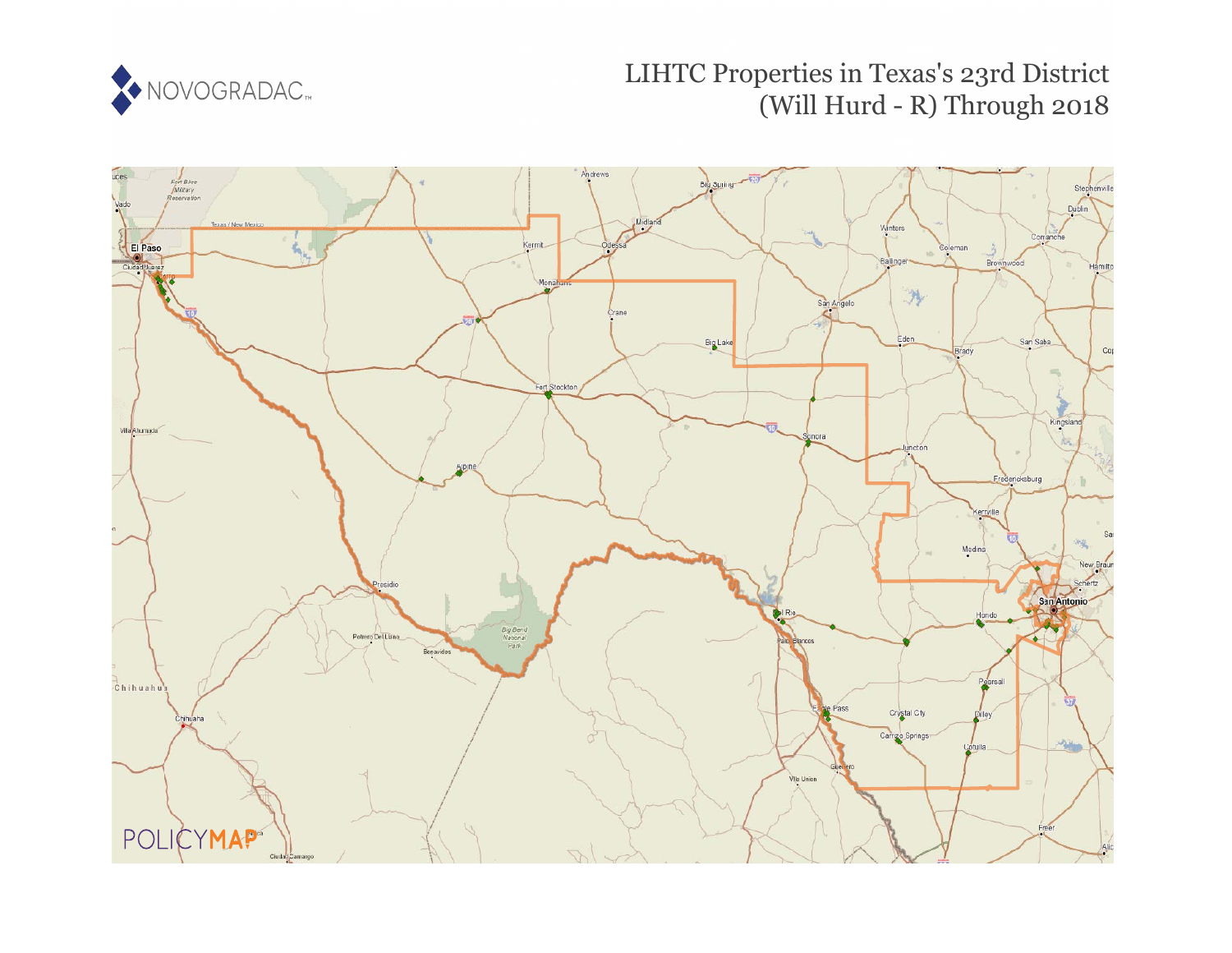

# LIHTC Properties in Texas's 23rd District (Will Hurd - R) Through 2018

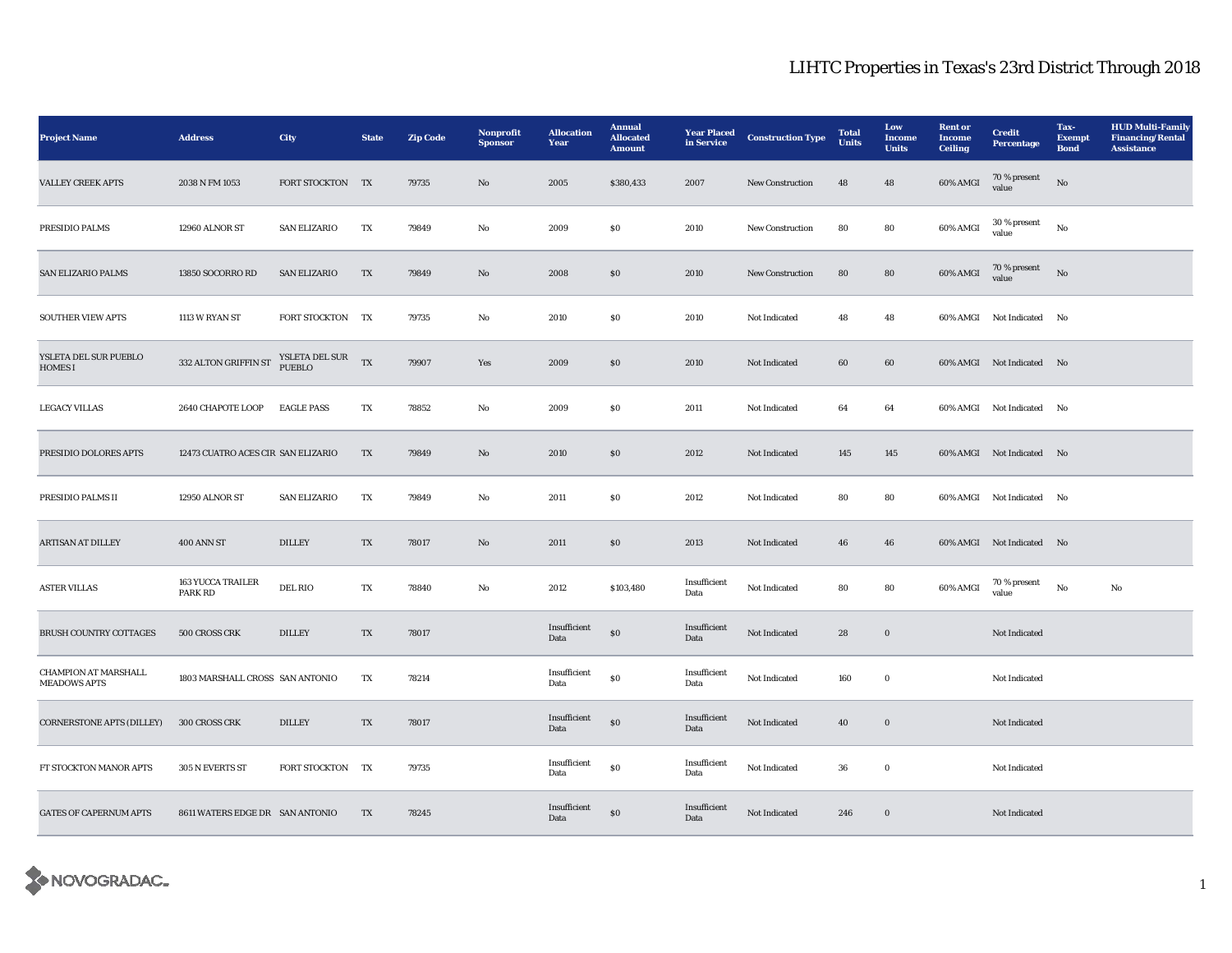| <b>Project Name</b>                                | <b>Address</b>                      | <b>City</b>                | <b>State</b> | <b>Zip Code</b> | Nonprofit<br><b>Sponsor</b> | <b>Allocation</b><br>Year | <b>Annual</b><br><b>Allocated</b><br><b>Amount</b> | <b>Year Placed</b><br>in Service | <b>Construction Type</b> | <b>Total</b><br><b>Units</b> | Low<br>Income<br><b>Units</b> | <b>Rent</b> or<br><b>Income</b><br><b>Ceiling</b> | <b>Credit</b><br><b>Percentage</b> | Tax-<br><b>Exempt</b><br><b>Bond</b> | <b>HUD Multi-Family</b><br><b>Financing/Rental</b><br><b>Assistance</b> |
|----------------------------------------------------|-------------------------------------|----------------------------|--------------|-----------------|-----------------------------|---------------------------|----------------------------------------------------|----------------------------------|--------------------------|------------------------------|-------------------------------|---------------------------------------------------|------------------------------------|--------------------------------------|-------------------------------------------------------------------------|
| <b>VALLEY CREEK APTS</b>                           | 2038 N FM 1053                      | FORT STOCKTON              | TX           | 79735           | No                          | 2005                      | \$380,433                                          | 2007                             | New Construction         | 48                           | 48                            | 60% AMGI                                          | $70\,\%$ present<br>value          | No                                   |                                                                         |
| PRESIDIO PALMS                                     | 12960 ALNOR ST                      | <b>SAN ELIZARIO</b>        | TX           | 79849           | $_{\rm No}$                 | 2009                      | ${\bf S0}$                                         | 2010                             | New Construction         | 80                           | 80                            | 60% AMGI                                          | 30 % present<br>value              | $_{\rm No}$                          |                                                                         |
| <b>SAN ELIZARIO PALMS</b>                          | 13850 SOCORRO RD                    | <b>SAN ELIZARIO</b>        | TX           | 79849           | $\mathbf{No}$               | 2008                      | ${\bf S0}$                                         | 2010                             | New Construction         | 80                           | 80                            | $60\%$ AMGI                                       | 70 % present<br>value              | $_{\rm No}$                          |                                                                         |
| <b>SOUTHER VIEW APTS</b>                           | 1113 W RYAN ST                      | FORT STOCKTON TX           |              | 79735           | $_{\rm No}$                 | 2010                      | $\boldsymbol{\mathsf{S}}\boldsymbol{\mathsf{0}}$   | 2010                             | Not Indicated            | 48                           | 48                            |                                                   | 60% AMGI Not Indicated No          |                                      |                                                                         |
| YSLETA DEL SUR PUEBLO<br><b>HOMES I</b>            | $332$ ALTON GRIFFIN ST $\,$         | YSLETA DEL SUR $_{\rm TX}$ |              | 79907           | Yes                         | 2009                      | $\boldsymbol{\mathsf{S}}\boldsymbol{\mathsf{0}}$   | 2010                             | Not Indicated            | 60                           | 60                            |                                                   | 60% AMGI Not Indicated No          |                                      |                                                                         |
| <b>LEGACY VILLAS</b>                               | 2640 CHAPOTE LOOP                   | <b>EAGLE PASS</b>          | TX           | 78852           | No                          | 2009                      | $\$0$                                              | 2011                             | Not Indicated            | 64                           | 64                            |                                                   | 60% AMGI Not Indicated No          |                                      |                                                                         |
| PRESIDIO DOLORES APTS                              | 12473 CUATRO ACES CIR SAN ELIZARIO  |                            | TX           | 79849           | $\mathbf{N}\mathbf{o}$      | 2010                      | \$0\$                                              | 2012                             | Not Indicated            | 145                          | 145                           |                                                   | 60% AMGI Not Indicated No          |                                      |                                                                         |
| PRESIDIO PALMS II                                  | 12950 ALNOR ST                      | <b>SAN ELIZARIO</b>        | TX           | 79849           | $\rm No$                    | 2011                      | $\boldsymbol{\mathsf{S}}\boldsymbol{\mathsf{0}}$   | 2012                             | Not Indicated            | 80                           | 80                            |                                                   | 60% AMGI Not Indicated             | No                                   |                                                                         |
| ARTISAN AT DILLEY                                  | <b>400 ANN ST</b>                   | <b>DILLEY</b>              | TX           | 78017           | $\mathbf{No}$               | 2011                      | $\$0$                                              | 2013                             | Not Indicated            | 46                           | 46                            |                                                   | 60% AMGI Not Indicated No          |                                      |                                                                         |
| <b>ASTER VILLAS</b>                                | <b>163 YUCCA TRAILER</b><br>PARK RD | DEL RIO                    | TX           | 78840           | No                          | 2012                      | \$103,480                                          | Insufficient<br>Data             | Not Indicated            | 80                           | 80                            | 60% AMGI                                          | $70\,\%$ present<br>value          | No                                   | No                                                                      |
| <b>BRUSH COUNTRY COTTAGES</b>                      | 500 CROSS CRK                       | DILLEY                     | TX           | 78017           |                             | Insufficient<br>Data      | $\$0$                                              | Insufficient<br>Data             | Not Indicated            | 28                           | $\boldsymbol{0}$              |                                                   | Not Indicated                      |                                      |                                                                         |
| <b>CHAMPION AT MARSHALL</b><br><b>MEADOWS APTS</b> | 1803 MARSHALL CROSS SAN ANTONIO     |                            | TX           | 78214           |                             | Insufficient<br>Data      | ${\bf S0}$                                         | Insufficient<br>Data             | Not Indicated            | 160                          | $\mathbf 0$                   |                                                   | Not Indicated                      |                                      |                                                                         |
| <b>CORNERSTONE APTS (DILLEY)</b>                   | 300 CROSS CRK                       | <b>DILLEY</b>              | TX           | 78017           |                             | Insufficient<br>Data      | $\$0$                                              | Insufficient<br>Data             | Not Indicated            | 40                           | $\mathbf 0$                   |                                                   | Not Indicated                      |                                      |                                                                         |
| FT STOCKTON MANOR APTS                             | 305 N EVERTS ST                     | FORT STOCKTON TX           |              | 79735           |                             | Insufficient<br>Data      | $\$0$                                              | Insufficient<br>Data             | Not Indicated            | 36                           | $\mathbf 0$                   |                                                   | Not Indicated                      |                                      |                                                                         |
| <b>GATES OF CAPERNUM APTS</b>                      | 8611 WATERS EDGE DR SAN ANTONIO     |                            | TX           | 78245           |                             | Insufficient<br>Data      | ${\bf S0}$                                         | Insufficient<br>Data             | Not Indicated            | 246                          | $\boldsymbol{0}$              |                                                   | Not Indicated                      |                                      |                                                                         |

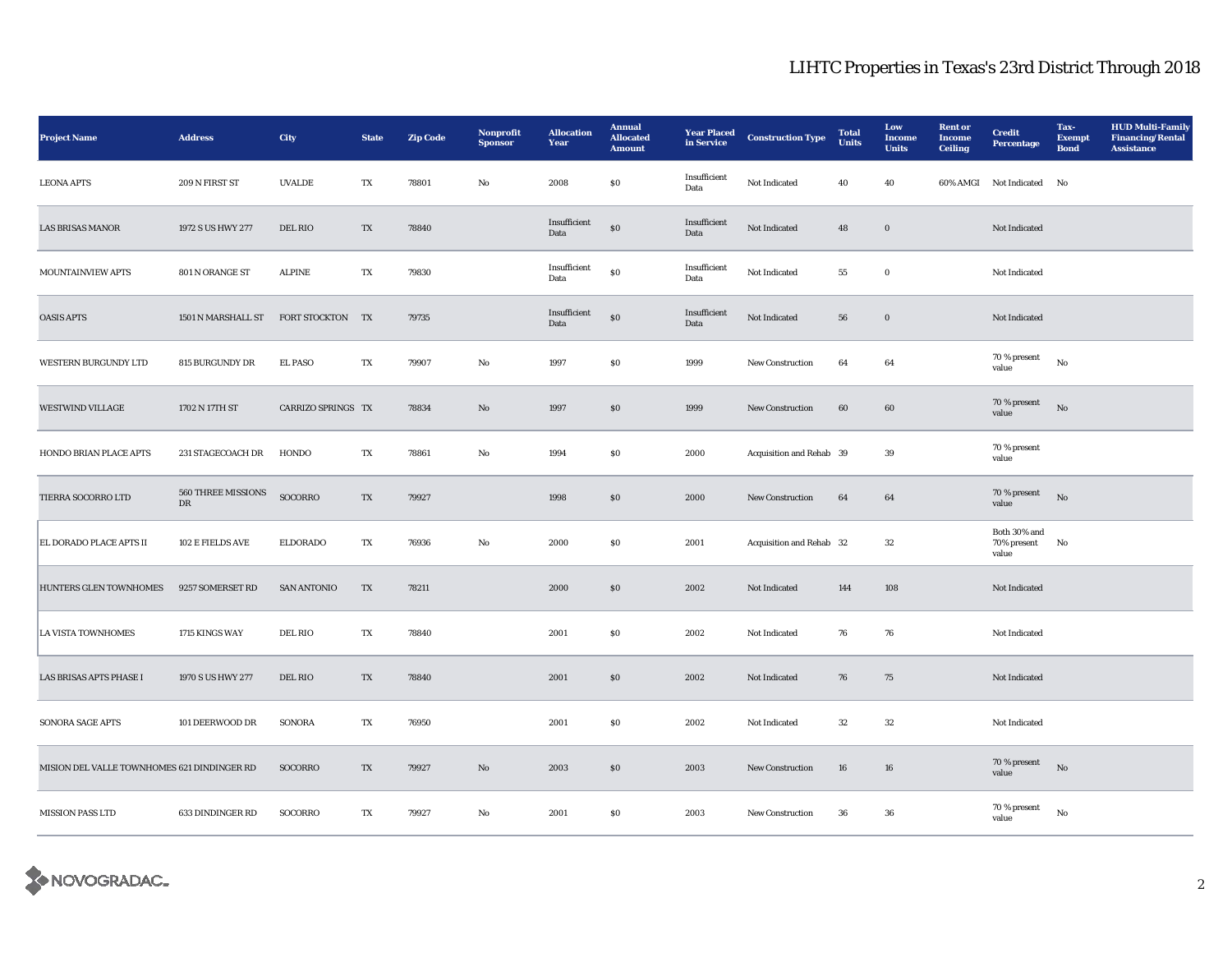| <b>Project Name</b>                         | <b>Address</b>                    | City               | <b>State</b> | <b>Zip Code</b> | Nonprofit<br><b>Sponsor</b> | <b>Allocation</b><br>Year | <b>Annual</b><br><b>Allocated</b><br><b>Amount</b> | <b>Year Placed</b><br>in Service | <b>Construction Type</b> | <b>Total</b><br><b>Units</b> | Low<br><b>Income</b><br><b>Units</b> | <b>Rent</b> or<br><b>Income</b><br><b>Ceiling</b> | <b>Credit</b><br><b>Percentage</b>      | Tax-<br><b>Exempt</b><br><b>Bond</b> | <b>HUD Multi-Family</b><br><b>Financing/Rental</b><br><b>Assistance</b> |
|---------------------------------------------|-----------------------------------|--------------------|--------------|-----------------|-----------------------------|---------------------------|----------------------------------------------------|----------------------------------|--------------------------|------------------------------|--------------------------------------|---------------------------------------------------|-----------------------------------------|--------------------------------------|-------------------------------------------------------------------------|
| <b>LEONA APTS</b>                           | 209 N FIRST ST                    | <b>UVALDE</b>      | TX           | 78801           | No                          | 2008                      | \$0\$                                              | Insufficient<br>Data             | Not Indicated            | 40                           | 40                                   |                                                   | 60% AMGI Not Indicated                  | No                                   |                                                                         |
| <b>LAS BRISAS MANOR</b>                     | 1972 S US HWY 277                 | DEL RIO            | TX           | 78840           |                             | Insufficient<br>Data      | $\$0$                                              | Insufficient<br>Data             | Not Indicated            | 48                           | $\mathbf 0$                          |                                                   | Not Indicated                           |                                      |                                                                         |
| MOUNTAINVIEW APTS                           | 801 N ORANGE ST                   | <b>ALPINE</b>      | TX           | 79830           |                             | Insufficient<br>Data      | $\$0$                                              | Insufficient<br>Data             | Not Indicated            | 55                           | $\mathbf 0$                          |                                                   | Not Indicated                           |                                      |                                                                         |
| <b>OASIS APTS</b>                           | 1501 N MARSHALL ST                | FORT STOCKTON TX   |              | 79735           |                             | Insufficient<br>Data      | $\bf{S0}$                                          | Insufficient<br>Data             | Not Indicated            | 56                           | $\boldsymbol{0}$                     |                                                   | Not Indicated                           |                                      |                                                                         |
| WESTERN BURGUNDY LTD                        | 815 BURGUNDY DR                   | <b>EL PASO</b>     | TX           | 79907           | $\rm No$                    | 1997                      | ${\bf S0}$                                         | 1999                             | New Construction         | 64                           | 64                                   |                                                   | 70 % present<br>value                   | $_{\rm No}$                          |                                                                         |
| <b>WESTWIND VILLAGE</b>                     | 1702 N 17TH ST                    | CARRIZO SPRINGS TX |              | 78834           | No                          | 1997                      | \$0\$                                              | 1999                             | <b>New Construction</b>  | 60                           | 60                                   |                                                   | 70 % present<br>value                   | No                                   |                                                                         |
| HONDO BRIAN PLACE APTS                      | 231 STAGECOACH DR                 | HONDO              | TX           | 78861           | No                          | 1994                      | \$0\$                                              | 2000                             | Acquisition and Rehab 39 |                              | 39                                   |                                                   | 70 % present<br>value                   |                                      |                                                                         |
| TIERRA SOCORRO LTD                          | 560 THREE MISSIONS<br>$_{\rm DR}$ | SOCORRO            | TX           | 79927           |                             | 1998                      | \$0\$                                              | 2000                             | New Construction         | 64                           | 64                                   |                                                   | 70 % present<br>value                   | No                                   |                                                                         |
| EL DORADO PLACE APTS II                     | 102 E FIELDS AVE                  | <b>ELDORADO</b>    | TX           | 76936           | No                          | 2000                      | $\$0$                                              | 2001                             | Acquisition and Rehab 32 |                              | $32\,$                               |                                                   | Both $30\%$ and<br>70% present<br>value | No                                   |                                                                         |
| HUNTERS GLEN TOWNHOMES                      | 9257 SOMERSET RD                  | <b>SAN ANTONIO</b> | TX           | 78211           |                             | 2000                      | $\$0$                                              | 2002                             | Not Indicated            | 144                          | 108                                  |                                                   | Not Indicated                           |                                      |                                                                         |
| <b>LA VISTA TOWNHOMES</b>                   | 1715 KINGS WAY                    | <b>DEL RIO</b>     | TX           | 78840           |                             | 2001                      | $\$0$                                              | 2002                             | Not Indicated            | 76                           | 76                                   |                                                   | Not Indicated                           |                                      |                                                                         |
| LAS BRISAS APTS PHASE I                     | 1970 S US HWY 277                 | DEL RIO            | TX           | 78840           |                             | 2001                      | S <sub>0</sub>                                     | 2002                             | Not Indicated            | 76                           | 75                                   |                                                   | Not Indicated                           |                                      |                                                                         |
| SONORA SAGE APTS                            | 101 DEERWOOD DR                   | <b>SONORA</b>      | TX           | 76950           |                             | 2001                      | $\$0$                                              | 2002                             | Not Indicated            | $32\,$                       | $32\,$                               |                                                   | Not Indicated                           |                                      |                                                                         |
| MISION DEL VALLE TOWNHOMES 621 DINDINGER RD |                                   | SOCORRO            | TX           | 79927           | No                          | 2003                      | $\boldsymbol{\mathsf{S}}\boldsymbol{\mathsf{0}}$   | 2003                             | <b>New Construction</b>  | 16                           | 16                                   |                                                   | 70 % present<br>value                   | No                                   |                                                                         |
| <b>MISSION PASS LTD</b>                     | 633 DINDINGER RD                  | SOCORRO            | TX           | 79927           | No                          | 2001                      | \$0\$                                              | 2003                             | <b>New Construction</b>  | 36                           | 36                                   |                                                   | 70 % present<br>value                   | No                                   |                                                                         |

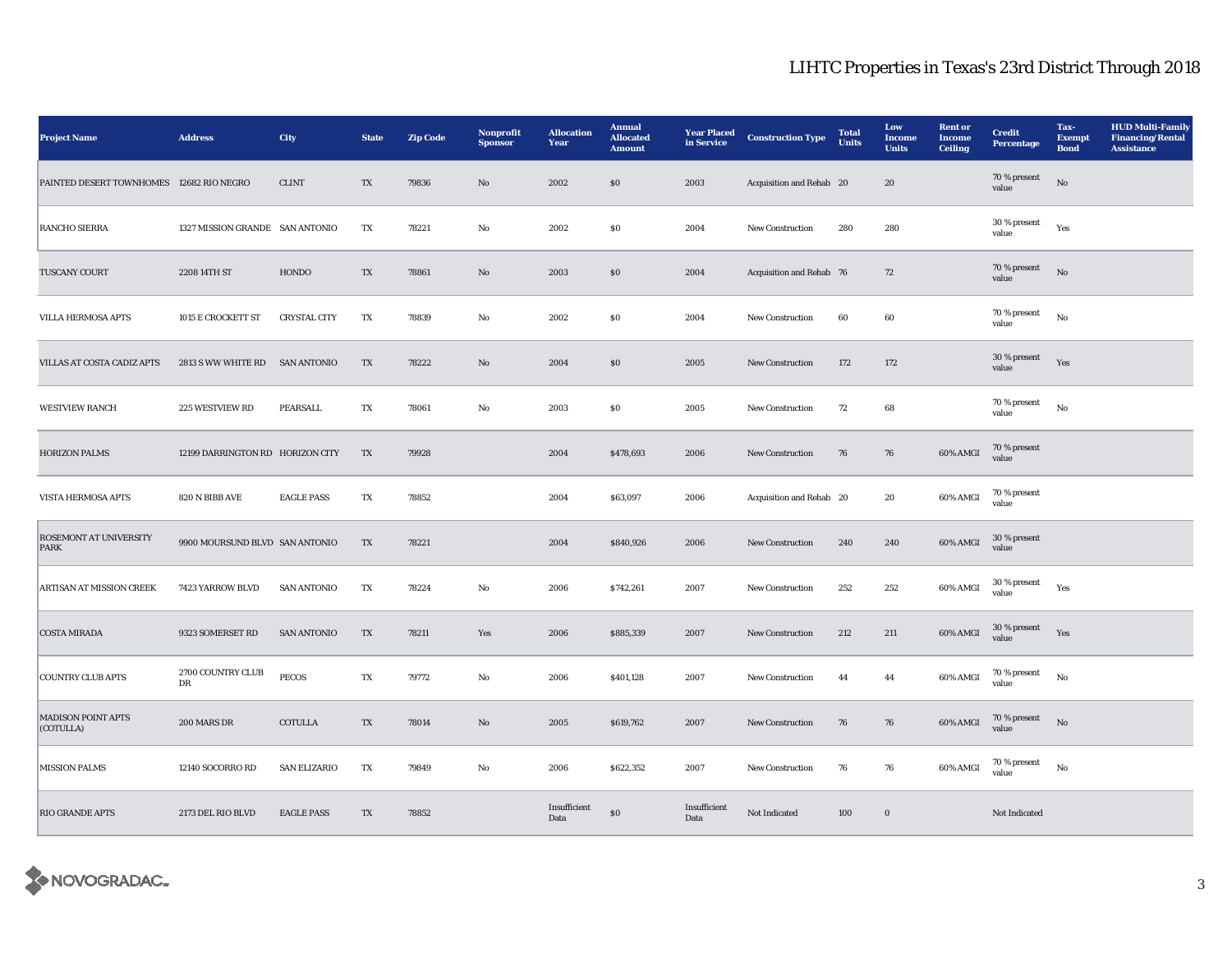| <b>Project Name</b>                      | <b>Address</b>                   | City                | <b>State</b>            | <b>Zip Code</b> | Nonprofit<br><b>Sponsor</b> | <b>Allocation</b><br>Year | <b>Annual</b><br><b>Allocated</b><br><b>Amount</b> | <b>Year Placed</b><br>in Service | <b>Construction Type</b> | <b>Total</b><br><b>Units</b> | Low<br>Income<br><b>Units</b> | <b>Rent</b> or<br><b>Income</b><br><b>Ceiling</b> | <b>Credit</b><br><b>Percentage</b> | Tax-<br><b>Exempt</b><br><b>Bond</b> | <b>HUD Multi-Family</b><br><b>Financing/Rental</b><br><b>Assistance</b> |
|------------------------------------------|----------------------------------|---------------------|-------------------------|-----------------|-----------------------------|---------------------------|----------------------------------------------------|----------------------------------|--------------------------|------------------------------|-------------------------------|---------------------------------------------------|------------------------------------|--------------------------------------|-------------------------------------------------------------------------|
| PAINTED DESERT TOWNHOMES 12682 RIO NEGRO |                                  | ${\rm CLINT}$       | TX                      | 79836           | $\mathbf{N}\mathbf{o}$      | 2002                      | $\$0$                                              | 2003                             | Acquisition and Rehab 20 |                              | 20                            |                                                   | 70 % present<br>value              | $\rm No$                             |                                                                         |
| <b>RANCHO SIERRA</b>                     | 1327 MISSION GRANDE SAN ANTONIO  |                     | TX                      | 78221           | $_{\rm No}$                 | 2002                      | $\$0$                                              | 2004                             | New Construction         | 280                          | 280                           |                                                   | 30 % present<br>value              | Yes                                  |                                                                         |
| TUSCANY COURT                            | 2208 14TH ST                     | HONDO               | $\mathbf{T}\mathbf{X}$  | 78861           | $\mathbf{N}\mathbf{o}$      | 2003                      | $\$0$                                              | 2004                             | Acquisition and Rehab 76 |                              | ${\bf 72}$                    |                                                   | 70 % present<br>value              | $_{\rm No}$                          |                                                                         |
| <b>VILLA HERMOSA APTS</b>                | 1015 E CROCKETT ST               | <b>CRYSTAL CITY</b> | TX                      | 78839           | $_{\rm No}$                 | 2002                      | ${\bf S0}$                                         | 2004                             | New Construction         | 60                           | 60                            |                                                   | 70 % present<br>value              | $_{\rm No}$                          |                                                                         |
| VILLAS AT COSTA CADIZ APTS               | 2813 S WW WHITE RD SAN ANTONIO   |                     | TX                      | 78222           | $\mathbf{N}\mathbf{o}$      | 2004                      | $\$0$                                              | 2005                             | New Construction         | 172                          | 172                           |                                                   | 30 % present<br>value              | Yes                                  |                                                                         |
| <b>WESTVIEW RANCH</b>                    | 225 WESTVIEW RD                  | PEARSALL            | TX                      | 78061           | $\mathbf{No}$               | 2003                      | ${\bf S0}$                                         | 2005                             | New Construction         | 72                           | 68                            |                                                   | 70 % present<br>value              | $_{\rm No}$                          |                                                                         |
| <b>HORIZON PALMS</b>                     | 12199 DARRINGTON RD HORIZON CITY |                     | TX                      | 79928           |                             | 2004                      | \$478,693                                          | 2006                             | New Construction         | 76                           | 76                            | 60% AMGI                                          | 70 % present<br>value              |                                      |                                                                         |
| VISTA HERMOSA APTS                       | 820 N BIBB AVE                   | <b>EAGLE PASS</b>   | TX                      | 78852           |                             | 2004                      | \$63,097                                           | 2006                             | Acquisition and Rehab 20 |                              | 20                            | 60% AMGI                                          | 70 % present<br>value              |                                      |                                                                         |
| <b>ROSEMONT AT UNIVERSITY</b><br>PARK    | 9900 MOURSUND BLVD SAN ANTONIO   |                     | TX                      | 78221           |                             | 2004                      | \$840,926                                          | 2006                             | New Construction         | 240                          | 240                           | 60% AMGI                                          | 30 % present<br>value              |                                      |                                                                         |
| ARTISAN AT MISSION CREEK                 | 7423 YARROW BLVD                 | <b>SAN ANTONIO</b>  | TX                      | 78224           | No                          | 2006                      | \$742,261                                          | 2007                             | New Construction         | 252                          | 252                           | 60% AMGI                                          | 30 % present<br>value              | Yes                                  |                                                                         |
| <b>COSTA MIRADA</b>                      | 9323 SOMERSET RD                 | <b>SAN ANTONIO</b>  | TX                      | 78211           | Yes                         | 2006                      | \$885,339                                          | 2007                             | New Construction         | 212                          | 211                           | 60% AMGI                                          | 30 % present<br>value              | Yes                                  |                                                                         |
| <b>COUNTRY CLUB APTS</b>                 | 2700 COUNTRY CLUB<br>DR          | <b>PECOS</b>        | $\mathbf{T} \mathbf{X}$ | 79772           | $_{\rm No}$                 | 2006                      | \$401,128                                          | 2007                             | New Construction         | 44                           | 44                            | 60% AMGI                                          | 70 % present<br>value              | $_{\rm No}$                          |                                                                         |
| <b>MADISON POINT APTS</b><br>(COTULLA)   | 200 MARS DR                      | <b>COTULLA</b>      | TX                      | 78014           | $\mathbf{N}\mathbf{o}$      | 2005                      | \$619,762                                          | 2007                             | New Construction         | 76                           | 76                            | $60\%$ AMGI                                       | 70 % present<br>value              | No                                   |                                                                         |
| <b>MISSION PALMS</b>                     | 12140 SOCORRO RD                 | <b>SAN ELIZARIO</b> | TX                      | 79849           | No                          | 2006                      | \$622,352                                          | 2007                             | New Construction         | 76                           | 76                            | 60% AMGI                                          | $70\,\%$ present<br>value          | $_{\rm No}$                          |                                                                         |
| <b>RIO GRANDE APTS</b>                   | 2173 DEL RIO BLVD                | <b>EAGLE PASS</b>   | TX                      | 78852           |                             | Insufficient<br>Data      | $\$0$                                              | Insufficient<br>Data             | Not Indicated            | 100                          | $\boldsymbol{0}$              |                                                   | Not Indicated                      |                                      |                                                                         |

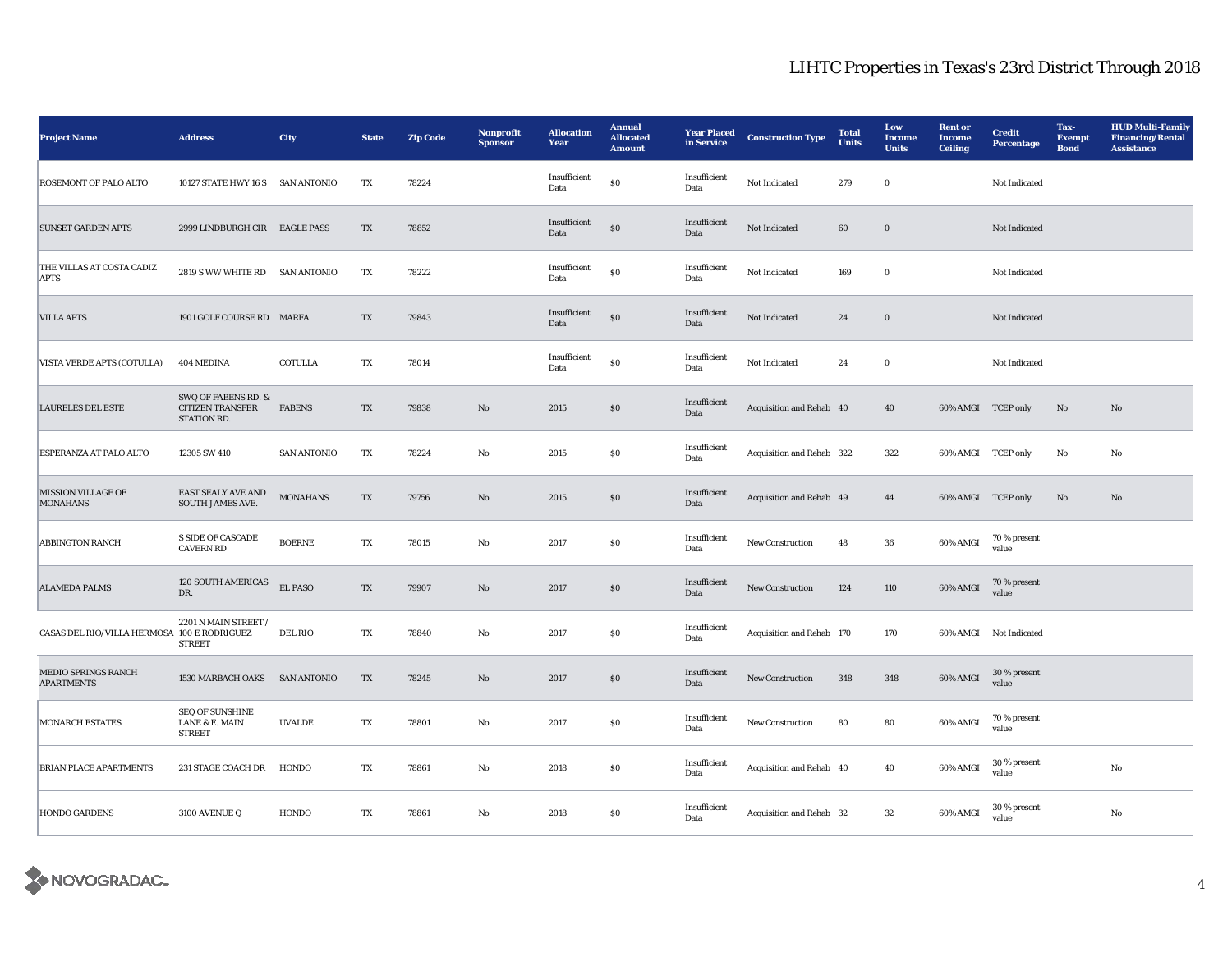| <b>Project Name</b>                          | <b>Address</b>                                                | City               | <b>State</b> | <b>Zip Code</b> | Nonprofit<br><b>Sponsor</b> | <b>Allocation</b><br>Year | <b>Annual</b><br><b>Allocated</b><br><b>Amount</b> | <b>Year Placed</b><br>in Service | <b>Construction Type</b>  | <b>Total</b><br><b>Units</b> | Low<br>Income<br><b>Units</b> | <b>Rent or</b><br>Income<br><b>Ceiling</b> | <b>Credit</b><br><b>Percentage</b> | Tax-<br><b>Exempt</b><br><b>Bond</b> | <b>HUD Multi-Family</b><br><b>Financing/Rental</b><br><b>Assistance</b> |
|----------------------------------------------|---------------------------------------------------------------|--------------------|--------------|-----------------|-----------------------------|---------------------------|----------------------------------------------------|----------------------------------|---------------------------|------------------------------|-------------------------------|--------------------------------------------|------------------------------------|--------------------------------------|-------------------------------------------------------------------------|
| ROSEMONT OF PALO ALTO                        | 10127 STATE HWY 16 S SAN ANTONIO                              |                    | TX           | 78224           |                             | Insufficient<br>Data      | $\bf{S0}$                                          | Insufficient<br>Data             | Not Indicated             | 279                          | $\bf{0}$                      |                                            | Not Indicated                      |                                      |                                                                         |
| <b>SUNSET GARDEN APTS</b>                    | 2999 LINDBURGH CIR EAGLE PASS                                 |                    | TX           | 78852           |                             | Insufficient<br>Data      | \$0                                                | Insufficient<br>Data             | Not Indicated             | $\bf{60}$                    | $\mathbf 0$                   |                                            | Not Indicated                      |                                      |                                                                         |
| THE VILLAS AT COSTA CADIZ<br><b>APTS</b>     | 2819 S WW WHITE RD SAN ANTONIO                                |                    | TX           | 78222           |                             | Insufficient<br>Data      | S <sub>0</sub>                                     | Insufficient<br>Data             | Not Indicated             | 169                          | $\bf{0}$                      |                                            | Not Indicated                      |                                      |                                                                         |
| <b>VILLA APTS</b>                            | 1901 GOLF COURSE RD MARFA                                     |                    | TX           | 79843           |                             | Insufficient<br>Data      | $\$0$                                              | Insufficient<br>Data             | Not Indicated             | 24                           | $\bf{0}$                      |                                            | Not Indicated                      |                                      |                                                                         |
| VISTA VERDE APTS (COTULLA)                   | 404 MEDINA                                                    | <b>COTULLA</b>     | TX           | 78014           |                             | Insufficient<br>Data      | \$0                                                | Insufficient<br>Data             | Not Indicated             | 24                           | $\bf{0}$                      |                                            | Not Indicated                      |                                      |                                                                         |
| <b>LAURELES DEL ESTE</b>                     | SWQ OF FABENS RD. &<br><b>CITIZEN TRANSFER</b><br>STATION RD. | <b>FABENS</b>      | TX           | 79838           | No                          | 2015                      | $\$0$                                              | Insufficient<br>Data             | Acquisition and Rehab 40  |                              | 40                            | 60% AMGI TCEP only                         |                                    | No                                   | No                                                                      |
| ESPERANZA AT PALO ALTO                       | 12305 SW 410                                                  | <b>SAN ANTONIO</b> | TX           | 78224           | No                          | 2015                      | $\$0$                                              | Insufficient<br>Data             | Acquisition and Rehab 322 |                              | 322                           |                                            | 60% AMGI TCEP only                 | No                                   | No                                                                      |
| <b>MISSION VILLAGE OF</b><br><b>MONAHANS</b> | EAST SEALY AVE AND<br><b>SOUTH JAMES AVE.</b>                 | <b>MONAHANS</b>    | TX           | 79756           | $\rm No$                    | 2015                      | $\boldsymbol{\mathsf{S}}\boldsymbol{\mathsf{O}}$   | Insufficient<br>Data             | Acquisition and Rehab 49  |                              | 44                            | 60% AMGI TCEP only                         |                                    | No                                   | No                                                                      |
| <b>ABBINGTON RANCH</b>                       | <b>S SIDE OF CASCADE</b><br><b>CAVERN RD</b>                  | <b>BOERNE</b>      | TX           | 78015           | No                          | 2017                      | <b>SO</b>                                          | Insufficient<br>Data             | <b>New Construction</b>   | 48                           | 36                            | 60% AMGI                                   | 70 % present<br>value              |                                      |                                                                         |
| <b>ALAMEDA PALMS</b>                         | 120 SOUTH AMERICAS<br>DR.                                     | EL PASO            | TX           | 79907           | No                          | 2017                      | \$0                                                | Insufficient<br>Data             | <b>New Construction</b>   | 124                          | 110                           | 60% AMGI                                   | 70 % present<br>value              |                                      |                                                                         |
| CASAS DEL RIO/VILLA HERMOSA 100 E RODRIGUEZ  | 2201 N MAIN STREET /<br><b>STREET</b>                         | <b>DEL RIO</b>     | TX           | 78840           | No                          | 2017                      | <b>SO</b>                                          | Insufficient<br>Data             | Acquisition and Rehab 170 |                              | 170                           |                                            | 60% AMGI Not Indicated             |                                      |                                                                         |
| MEDIO SPRINGS RANCH<br><b>APARTMENTS</b>     | 1530 MARBACH OAKS SAN ANTONIO                                 |                    | TX           | 78245           | $\rm No$                    | 2017                      | \$0                                                | Insufficient<br>Data             | New Construction          | 348                          | 348                           | 60% AMGI                                   | 30 % present<br>value              |                                      |                                                                         |
| <b>MONARCH ESTATES</b>                       | <b>SEQ OF SUNSHINE</b><br>LANE & E. MAIN<br><b>STREET</b>     | <b>UVALDE</b>      | TX           | 78801           | No                          | 2017                      | $\$0$                                              | Insufficient<br>Data             | New Construction          | 80                           | 80                            | 60% AMGI                                   | 70 % present<br>value              |                                      |                                                                         |
| <b>BRIAN PLACE APARTMENTS</b>                | 231 STAGE COACH DR                                            | HONDO              | TX           | 78861           | $_{\rm No}$                 | 2018                      | $\$0$                                              | Insufficient<br>Data             | Acquisition and Rehab 40  |                              | 40                            | 60% AMGI                                   | 30 % present<br>value              |                                      | No                                                                      |
| <b>HONDO GARDENS</b>                         | 3100 AVENUE Q                                                 | HONDO              | TX           | 78861           | $_{\rm No}$                 | 2018                      | $\$0$                                              | Insufficient<br>Data             | Acquisition and Rehab 32  |                              | $32\,$                        | 60% AMGI                                   | 30 % present<br>value              |                                      | $\rm No$                                                                |

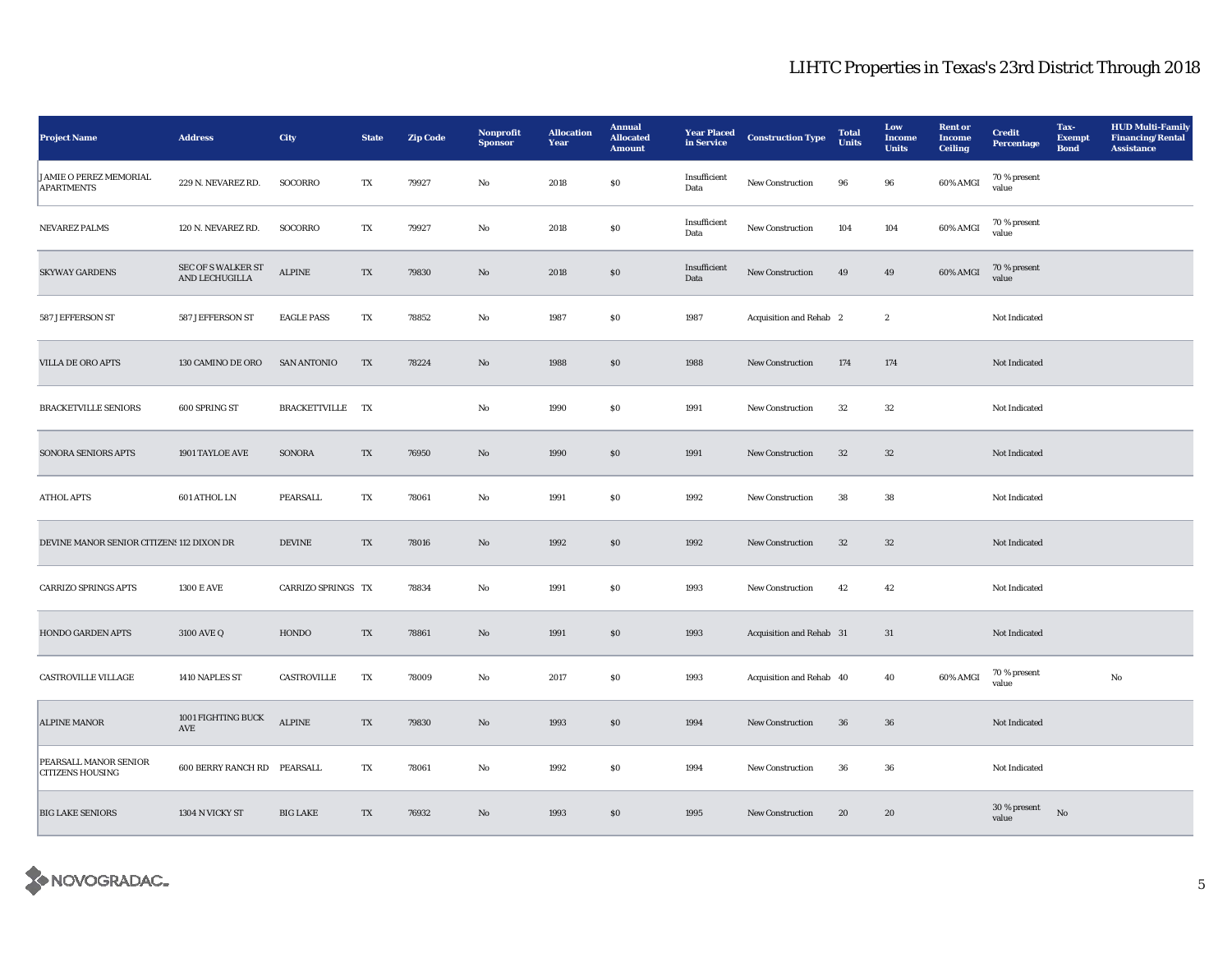| <b>Project Name</b>                                | <b>Address</b>                              | City               | <b>State</b>             | <b>Zip Code</b> | Nonprofit<br><b>Sponsor</b> | <b>Allocation</b><br>Year | <b>Annual</b><br><b>Allocated</b><br><b>Amount</b> | <b>Year Placed</b><br>in Service | <b>Construction Type</b> | <b>Total</b><br><b>Units</b> | Low<br><b>Income</b><br><b>Units</b> | <b>Rent or</b><br>Income<br><b>Ceiling</b> | <b>Credit</b><br><b>Percentage</b> | Tax-<br><b>Exempt</b><br><b>Bond</b> | <b>HUD Multi-Family</b><br><b>Financing/Rental</b><br><b>Assistance</b> |
|----------------------------------------------------|---------------------------------------------|--------------------|--------------------------|-----------------|-----------------------------|---------------------------|----------------------------------------------------|----------------------------------|--------------------------|------------------------------|--------------------------------------|--------------------------------------------|------------------------------------|--------------------------------------|-------------------------------------------------------------------------|
| <b>JAMIE O PEREZ MEMORIAL</b><br><b>APARTMENTS</b> | 229 N. NEVAREZ RD.                          | SOCORRO            | TX                       | 79927           | No                          | 2018                      | \$0\$                                              | Insufficient<br>Data             | <b>New Construction</b>  | 96                           | 96                                   | 60% AMGI                                   | 70 % present<br>value              |                                      |                                                                         |
| NEVAREZ PALMS                                      | 120 N. NEVAREZ RD.                          | SOCORRO            | TX                       | 79927           | $\mathbf{No}$               | 2018                      | $\$0$                                              | Insufficient<br>Data             | New Construction         | 104                          | 104                                  | 60% AMGI                                   | 70 % present<br>value              |                                      |                                                                         |
| <b>SKYWAY GARDENS</b>                              | <b>SEC OF S WALKER ST</b><br>AND LECHUGILLA | <b>ALPINE</b>      | TX                       | 79830           | No                          | 2018                      | $\$0$                                              | Insufficient<br>Data             | New Construction         | 49                           | 49                                   | 60% AMGI                                   | 70 % present<br>value              |                                      |                                                                         |
| 587 JEFFERSON ST                                   | 587 JEFFERSON ST                            | <b>EAGLE PASS</b>  | TX                       | 78852           | $\mathbf{No}$               | 1987                      | $\$0$                                              | 1987                             | Acquisition and Rehab 2  |                              | $\,$ 2 $\,$                          |                                            | Not Indicated                      |                                      |                                                                         |
| VILLA DE ORO APTS                                  | 130 CAMINO DE ORO                           | <b>SAN ANTONIO</b> | TX                       | 78224           | $\mathbf{N}\mathbf{o}$      | 1988                      | \$0                                                | 1988                             | New Construction         | 174                          | 174                                  |                                            | Not Indicated                      |                                      |                                                                         |
| <b>BRACKETVILLE SENIORS</b>                        | 600 SPRING ST                               | BRACKETTVILLE TX   |                          |                 | No                          | 1990                      | $\boldsymbol{\mathsf{S}}\boldsymbol{\mathsf{O}}$   | 1991                             | New Construction         | $32\,$                       | $32\,$                               |                                            | Not Indicated                      |                                      |                                                                         |
| SONORA SENIORS APTS                                | 1901 TAYLOE AVE                             | SONORA             | $\mathcal{T}\mathcal{X}$ | 76950           | No                          | 1990                      | $\$0$                                              | 1991                             | New Construction         | $32\,$                       | $32\,$                               |                                            | Not Indicated                      |                                      |                                                                         |
| <b>ATHOL APTS</b>                                  | 601 ATHOL LN                                | PEARSALL           | TX                       | 78061           | No                          | 1991                      | \$0\$                                              | 1992                             | New Construction         | 38                           | 38                                   |                                            | Not Indicated                      |                                      |                                                                         |
| DEVINE MANOR SENIOR CITIZENS 112 DIXON DR          |                                             | <b>DEVINE</b>      | TX                       | 78016           | $\mathbf{N}\mathbf{o}$      | 1992                      | \$0\$                                              | 1992                             | New Construction         | $32\,$                       | $32\,$                               |                                            | Not Indicated                      |                                      |                                                                         |
| <b>CARRIZO SPRINGS APTS</b>                        | <b>1300 E AVE</b>                           | CARRIZO SPRINGS TX |                          | 78834           | No                          | 1991                      | \$0\$                                              | 1993                             | New Construction         | 42                           | 42                                   |                                            | Not Indicated                      |                                      |                                                                         |
| HONDO GARDEN APTS                                  | 3100 AVE Q                                  | HONDO              | TX                       | 78861           | $\mathbf{N}\mathbf{o}$      | 1991                      | $\$0$                                              | 1993                             | Acquisition and Rehab 31 |                              | $31\,$                               |                                            | Not Indicated                      |                                      |                                                                         |
| CASTROVILLE VILLAGE                                | 1410 NAPLES ST                              | CASTROVILLE        | TX                       | 78009           | No                          | 2017                      | $\$0$                                              | 1993                             | Acquisition and Rehab 40 |                              | 40                                   | 60% AMGI                                   | 70 % present<br>value              |                                      | No                                                                      |
| <b>ALPINE MANOR</b>                                | 1001 FIGHTING BUCK<br>AVE                   | <b>ALPINE</b>      | TX                       | 79830           | $\mathbf{N}\mathbf{o}$      | 1993                      | \$0                                                | 1994                             | <b>New Construction</b>  | 36                           | 36                                   |                                            | Not Indicated                      |                                      |                                                                         |
| PEARSALL MANOR SENIOR<br><b>CITIZENS HOUSING</b>   | 600 BERRY RANCH RD PEARSALL                 |                    | TX                       | 78061           | No                          | 1992                      | $\$0$                                              | 1994                             | <b>New Construction</b>  | 36                           | 36                                   |                                            | Not Indicated                      |                                      |                                                                         |
| <b>BIG LAKE SENIORS</b>                            | 1304 N VICKY ST                             | <b>BIG LAKE</b>    | TX                       | 76932           | No                          | 1993                      | \$0\$                                              | 1995                             | <b>New Construction</b>  | 20                           | 20                                   |                                            | 30 % present<br>value              | No                                   |                                                                         |